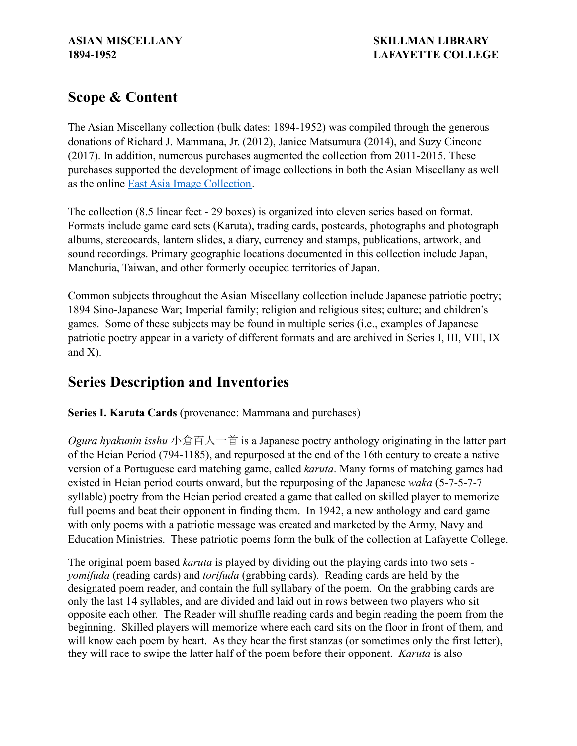# **Scope & Content**

The Asian Miscellany collection (bulk dates: 1894-1952) was compiled through the generous donations of Richard J. Mammana, Jr. (2012), Janice Matsumura (2014), and Suzy Cincone (2017). In addition, numerous purchases augmented the collection from 2011-2015. These purchases supported the development of image collections in both the Asian Miscellany as well as the online [East Asia Image Collection](https://ldr.lafayette.edu/collections/east-asia-image-collection).

The collection (8.5 linear feet - 29 boxes) is organized into eleven series based on format. Formats include game card sets (Karuta), trading cards, postcards, photographs and photograph albums, stereocards, lantern slides, a diary, currency and stamps, publications, artwork, and sound recordings. Primary geographic locations documented in this collection include Japan, Manchuria, Taiwan, and other formerly occupied territories of Japan.

Common subjects throughout the Asian Miscellany collection include Japanese patriotic poetry; 1894 Sino-Japanese War; Imperial family; religion and religious sites; culture; and children's games. Some of these subjects may be found in multiple series (i.e., examples of Japanese patriotic poetry appear in a variety of different formats and are archived in Series I, III, VIII, IX and X).

# **Series Description and Inventories**

**Series I. Karuta Cards** (provenance: Mammana and purchases)

*Ogura hyakunin isshu* 小倉百人一首 is a Japanese poetry anthology originating in the latter part of the Heian Period (794-1185), and repurposed at the end of the 16th century to create a native version of a Portuguese card matching game, called *karuta*. Many forms of matching games had existed in Heian period courts onward, but the repurposing of the Japanese *waka* (5-7-5-7-7 syllable) poetry from the Heian period created a game that called on skilled player to memorize full poems and beat their opponent in finding them. In 1942, a new anthology and card game with only poems with a patriotic message was created and marketed by the Army, Navy and Education Ministries. These patriotic poems form the bulk of the collection at Lafayette College.

The original poem based *karuta* is played by dividing out the playing cards into two sets *yomifuda* (reading cards) and *torifuda* (grabbing cards). Reading cards are held by the designated poem reader, and contain the full syllabary of the poem. On the grabbing cards are only the last 14 syllables, and are divided and laid out in rows between two players who sit opposite each other. The Reader will shuffle reading cards and begin reading the poem from the beginning. Skilled players will memorize where each card sits on the floor in front of them, and will know each poem by heart. As they hear the first stanzas (or sometimes only the first letter), they will race to swipe the latter half of the poem before their opponent. *Karuta* is also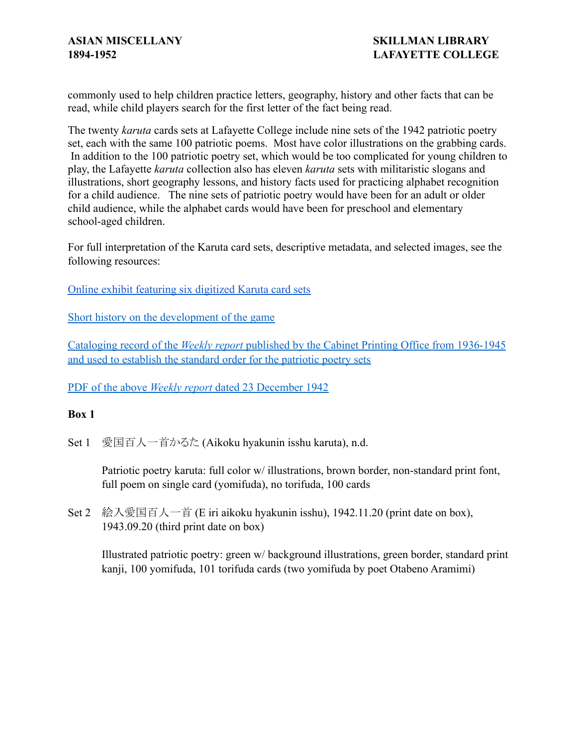commonly used to help children practice letters, geography, history and other facts that can be read, while child players search for the first letter of the fact being read.

The twenty *karuta* cards sets at Lafayette College include nine sets of the 1942 patriotic poetry set, each with the same 100 patriotic poems. Most have color illustrations on the grabbing cards. In addition to the 100 patriotic poetry set, which would be too complicated for young children to play, the Lafayette *karuta* collection also has eleven *karuta* sets with militaristic slogans and illustrations, short geography lessons, and history facts used for practicing alphabet recognition for a child audience. The nine sets of patriotic poetry would have been for an adult or older child audience, while the alphabet cards would have been for preschool and elementary school-aged children.

For full interpretation of the Karuta card sets, descriptive metadata, and selected images, see the following resources:

[Online exhibit featuring six digitized Karuta card sets](https://exhibits.lafayette.edu/s/karuta/page/welcome)

[Short history on the development of the game](http://libcat.lafayette.edu/record=b2585663)

Cataloging record of the *Weekly report* published by [the Cabinet Printing Office from 1936-1945](http://libcat.lafayette.edu/record=b2585998) [and used to establish the standard order for the patriotic poetry sets](http://libcat.lafayette.edu/record=b2585998)

PDF of the above *Weekly report* [dated 23 December 1942](http://exhibits.lafayette.edu/karuta/files/original/ac27ae7e9af84ae95005675a5629df1b.pdf)

### **Box 1**

Set 1 愛国百人一首かるた (Aikoku hyakunin isshu karuta), n.d.

Patriotic poetry karuta: full color w/ illustrations, brown border, non-standard print font, full poem on single card (yomifuda), no torifuda, 100 cards

Set 2 絵入愛国百人一首 (E iri aikoku hyakunin isshu), 1942.11.20 (print date on box), 1943.09.20 (third print date on box)

Illustrated patriotic poetry: green w/ background illustrations, green border, standard print kanji, 100 yomifuda, 101 torifuda cards (two yomifuda by poet Otabeno Aramimi)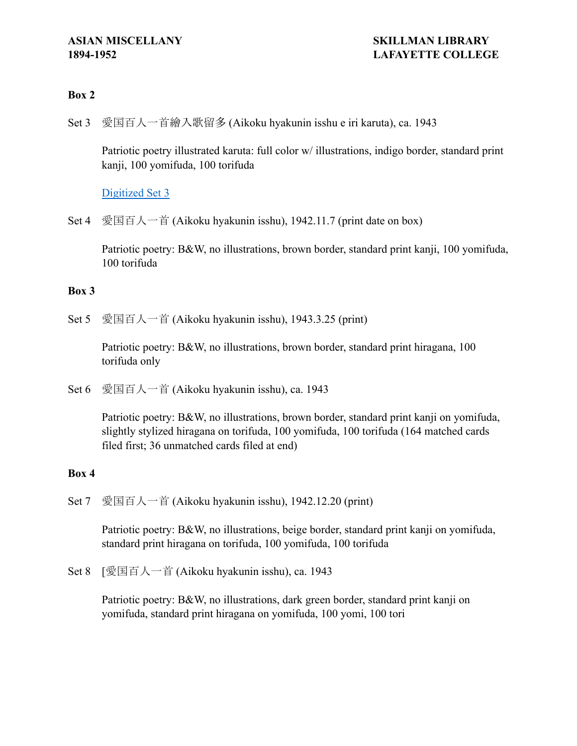### **Box 2**

Set 3 愛国百人一首繪入歌留多 (Aikoku hyakunin isshu e iri karuta), ca. 1943

Patriotic poetry illustrated karuta: full color w/ illustrations, indigo border, standard print kanji, 100 yomifuda, 100 torifuda

### [Digitized Set 3](http://exhibits.lafayette.edu/karuta/collections/show/2)

Set 4 愛国百人一首 (Aikoku hyakunin isshu), 1942.11.7 (print date on box)

Patriotic poetry: B&W, no illustrations, brown border, standard print kanji, 100 yomifuda, 100 torifuda

### **Box 3**

Set 5 愛国百人一首 (Aikoku hyakunin isshu), 1943.3.25 (print)

Patriotic poetry: B&W, no illustrations, brown border, standard print hiragana, 100 torifuda only

Set 6 愛国百人一首 (Aikoku hyakunin isshu), ca. 1943

Patriotic poetry: B&W, no illustrations, brown border, standard print kanji on yomifuda, slightly stylized hiragana on torifuda, 100 yomifuda, 100 torifuda (164 matched cards filed first; 36 unmatched cards filed at end)

### **Box 4**

Set 7 愛国百人一首 (Aikoku hyakunin isshu), 1942.12.20 (print)

Patriotic poetry: B&W, no illustrations, beige border, standard print kanji on yomifuda, standard print hiragana on torifuda, 100 yomifuda, 100 torifuda

Set 8 [愛国百人一首 (Aikoku hyakunin isshu), ca. 1943

Patriotic poetry: B&W, no illustrations, dark green border, standard print kanji on yomifuda, standard print hiragana on yomifuda, 100 yomi, 100 tori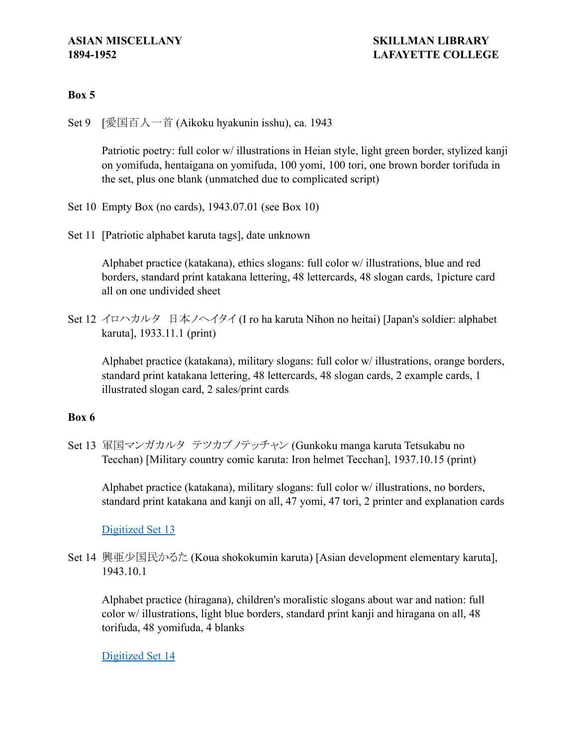### **Box 5**

Set 9 [愛国百人一首 (Aikoku hyakunin isshu), ca. 1943

Patriotic poetry: full color w/ illustrations in Heian style, light green border, stylized kanji on yomifuda, hentaigana on yomifuda, 100 yomi, 100 tori, one brown border torifuda in the set, plus one blank (unmatched due to complicated script)

- Set 10 Empty Box (no cards), 1943.07.01 (see Box 10)
- Set 11 [Patriotic alphabet karuta tags], date unknown

Alphabet practice (katakana), ethics slogans: full color w/ illustrations, blue and red borders, standard print katakana lettering, 48 lettercards, 48 slogan cards, 1picture card all on one undivided sheet

Set 12 イロハカルタ 日本ノヘイタイ (I ro ha karuta Nihon no heitai) [Japan's soldier: alphabet karuta], 1933.11.1 (print)

Alphabet practice (katakana), military slogans: full color w/ illustrations, orange borders, standard print katakana lettering, 48 lettercards, 48 slogan cards, 2 example cards, 1 illustrated slogan card, 2 sales/print cards

### **Box 6**

Set 13 軍国マンガカルタ テツカブノテッチャン (Gunkoku manga karuta Tetsukabu no Tecchan) [Military country comic karuta: Iron helmet Tecchan], 1937.10.15 (print)

Alphabet practice (katakana), military slogans: full color w/ illustrations, no borders, standard print katakana and kanji on all, 47 yomi, 47 tori, 2 printer and explanation cards

### [Digitized Set 13](http://exhibits.lafayette.edu/karuta/collections/show/3)

Set 14 興亜少国民かるた (Koua shokokumin karuta) [Asian development elementary karuta], 1943.10.1

Alphabet practice (hiragana), children's moralistic slogans about war and nation: full color w/ illustrations, light blue borders, standard print kanji and hiragana on all, 48 torifuda, 48 yomifuda, 4 blanks

[Digitized Set 14](http://exhibits.lafayette.edu/karuta/collections/show/4)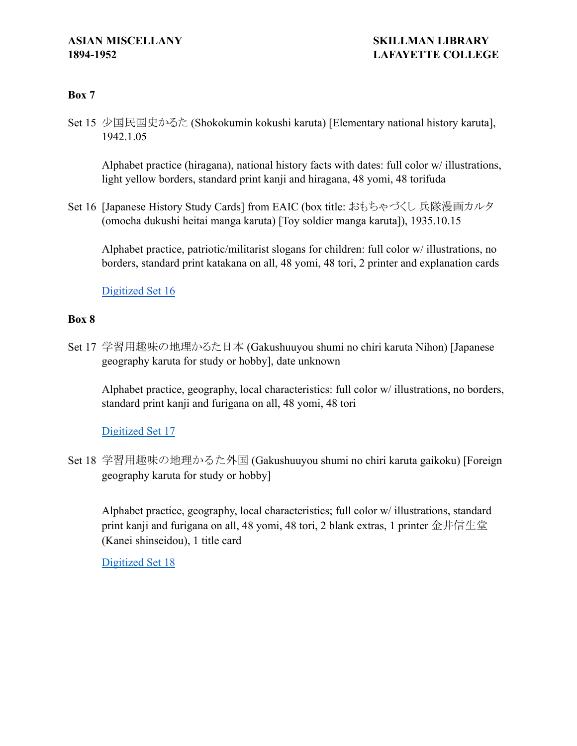### **Box 7**

Set 15 少国民国史かるた (Shokokumin kokushi karuta) [Elementary national history karuta], 1942.1.05

Alphabet practice (hiragana), national history facts with dates: full color w/ illustrations, light yellow borders, standard print kanji and hiragana, 48 yomi, 48 torifuda

Set 16 [Japanese History Study Cards] from EAIC (box title: おもちゃづくし 兵隊漫画カルタ (omocha dukushi heitai manga karuta) [Toy soldier manga karuta]), 1935.10.15

Alphabet practice, patriotic/militarist slogans for children: full color w/ illustrations, no borders, standard print katakana on all, 48 yomi, 48 tori, 2 printer and explanation cards

[Digitized Set 16](https://ldr.lafayette.edu/collections/tx31qj21t)

### **Box 8**

Set 17 学習用趣味の地理かるた日本 (Gakushuuyou shumi no chiri karuta Nihon) [Japanese geography karuta for study or hobby], date unknown

Alphabet practice, geography, local characteristics: full color w/ illustrations, no borders, standard print kanji and furigana on all, 48 yomi, 48 tori

### [Digitized Set 17](http://exhibits.lafayette.edu/karuta/collections/show/5)

Set 18 学習用趣味の地理かるた外国 (Gakushuuyou shumi no chiri karuta gaikoku) [Foreign geography karuta for study or hobby]

Alphabet practice, geography, local characteristics; full color w/ illustrations, standard print kanji and furigana on all, 48 yomi, 48 tori, 2 blank extras, 1 printer 金井信生堂 (Kanei shinseidou), 1 title card

[Digitized Set 18](http://exhibits.lafayette.edu/karuta/collections/show/6)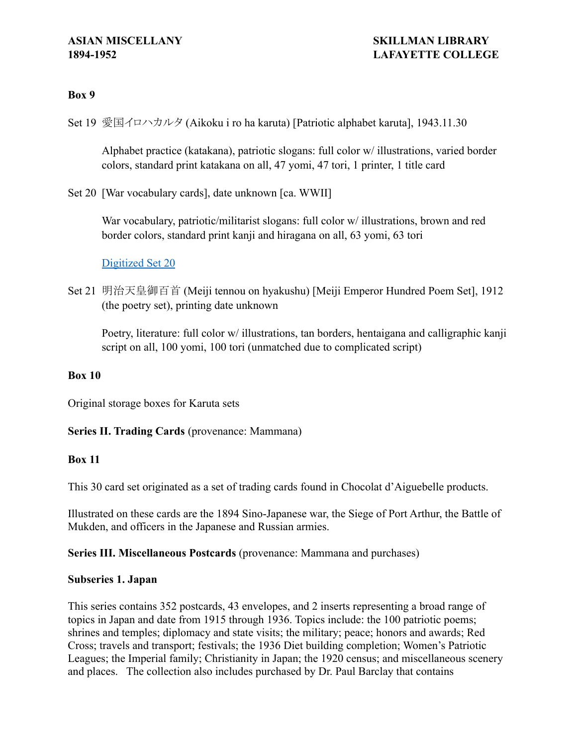### **Box 9**

Set 19 愛国イロハカルタ (Aikoku i ro ha karuta) [Patriotic alphabet karuta], 1943.11.30

Alphabet practice (katakana), patriotic slogans: full color w/ illustrations, varied border colors, standard print katakana on all, 47 yomi, 47 tori, 1 printer, 1 title card

Set 20 [War vocabulary cards], date unknown [ca. WWII]

War vocabulary, patriotic/militarist slogans: full color w/ illustrations, brown and red border colors, standard print kanji and hiragana on all, 63 yomi, 63 tori

[Digitized Set 20](http://exhibits.lafayette.edu/karuta/collections/show/7)

Set 21 明治天皇御百首 (Meiji tennou on hyakushu) [Meiji Emperor Hundred Poem Set], 1912 (the poetry set), printing date unknown

Poetry, literature: full color w/ illustrations, tan borders, hentaigana and calligraphic kanji script on all, 100 yomi, 100 tori (unmatched due to complicated script)

### **Box 10**

Original storage boxes for Karuta sets

### **Series II. Trading Cards** (provenance: Mammana)

### **Box 11**

This 30 card set originated as a set of trading cards found in Chocolat d'Aiguebelle products.

Illustrated on these cards are the 1894 Sino-Japanese war, the Siege of Port Arthur, the Battle of Mukden, and officers in the Japanese and Russian armies.

### **Series III. Miscellaneous Postcards** (provenance: Mammana and purchases)

### **Subseries 1. Japan**

This series contains 352 postcards, 43 envelopes, and 2 inserts representing a broad range of topics in Japan and date from 1915 through 1936. Topics include: the 100 patriotic poems; shrines and temples; diplomacy and state visits; the military; peace; honors and awards; Red Cross; travels and transport; festivals; the 1936 Diet building completion; Women's Patriotic Leagues; the Imperial family; Christianity in Japan; the 1920 census; and miscellaneous scenery and places. The collection also includes purchased by Dr. Paul Barclay that contains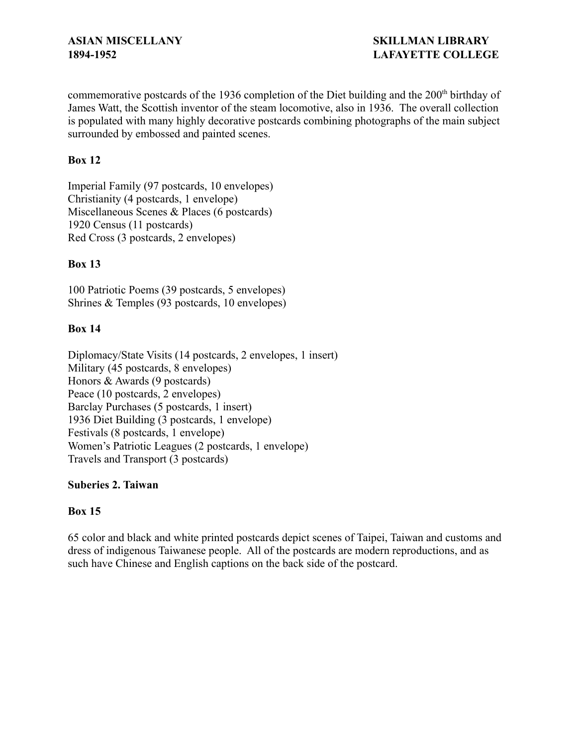commemorative postcards of the 1936 completion of the Diet building and the 200<sup>th</sup> birthday of James Watt, the Scottish inventor of the steam locomotive, also in 1936. The overall collection is populated with many highly decorative postcards combining photographs of the main subject surrounded by embossed and painted scenes.

### **Box 12**

Imperial Family (97 postcards, 10 envelopes) Christianity (4 postcards, 1 envelope) Miscellaneous Scenes & Places (6 postcards) 1920 Census (11 postcards) Red Cross (3 postcards, 2 envelopes)

### **Box 13**

100 Patriotic Poems (39 postcards, 5 envelopes) Shrines & Temples (93 postcards, 10 envelopes)

### **Box 14**

Diplomacy/State Visits (14 postcards, 2 envelopes, 1 insert) Military (45 postcards, 8 envelopes) Honors & Awards (9 postcards) Peace (10 postcards, 2 envelopes) Barclay Purchases (5 postcards, 1 insert) 1936 Diet Building (3 postcards, 1 envelope) Festivals (8 postcards, 1 envelope) Women's Patriotic Leagues (2 postcards, 1 envelope) Travels and Transport (3 postcards)

### **Suberies 2. Taiwan**

### **Box 15**

65 color and black and white printed postcards depict scenes of Taipei, Taiwan and customs and dress of indigenous Taiwanese people. All of the postcards are modern reproductions, and as such have Chinese and English captions on the back side of the postcard.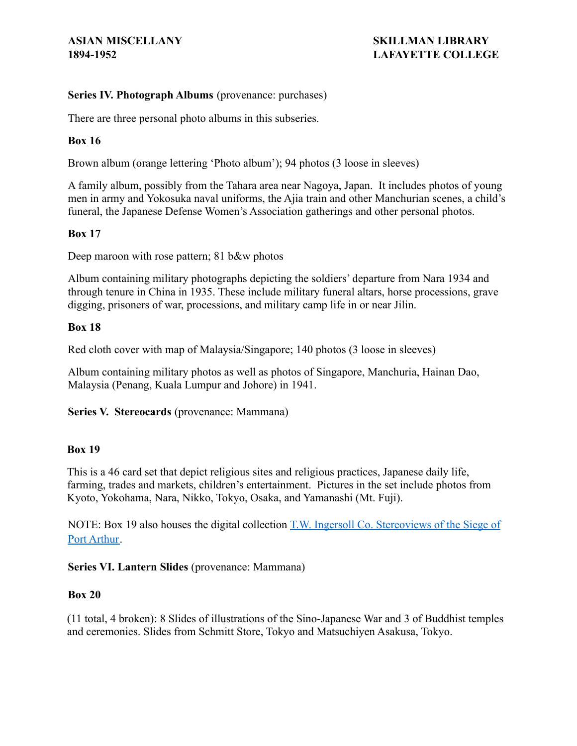### **Series IV. Photograph Albums** (provenance: purchases)

There are three personal photo albums in this subseries.

### **Box 16**

Brown album (orange lettering 'Photo album'); 94 photos (3 loose in sleeves)

A family album, possibly from the Tahara area near Nagoya, Japan. It includes photos of young men in army and Yokosuka naval uniforms, the Ajia train and other Manchurian scenes, a child's funeral, the Japanese Defense Women's Association gatherings and other personal photos.

### **Box 17**

Deep maroon with rose pattern; 81 b&w photos

Album containing military photographs depicting the soldiers' departure from Nara 1934 and through tenure in China in 1935. These include military funeral altars, horse processions, grave digging, prisoners of war, processions, and military camp life in or near Jilin.

### **Box 18**

Red cloth cover with map of Malaysia/Singapore; 140 photos (3 loose in sleeves)

Album containing military photos as well as photos of Singapore, Manchuria, Hainan Dao, Malaysia (Penang, Kuala Lumpur and Johore) in 1941.

**Series V. Stereocards** (provenance: Mammana)

### **Box 19**

This is a 46 card set that depict religious sites and religious practices, Japanese daily life, farming, trades and markets, children's entertainment. Pictures in the set include photos from Kyoto, Yokohama, Nara, Nikko, Tokyo, Osaka, and Yamanashi (Mt. Fuji).

NOTE: Box 19 also houses the digital collection T.W. [Ingersoll Co. Stereoviews of the Siege of](https://ldr.lafayette.edu/collections/dj52w534n) [Port Arthur.](https://ldr.lafayette.edu/collections/dj52w534n)

### **Series VI. Lantern Slides** (provenance: Mammana)

### **Box 20**

(11 total, 4 broken): 8 Slides of illustrations of the Sino-Japanese War and 3 of Buddhist temples and ceremonies. Slides from Schmitt Store, Tokyo and Matsuchiyen Asakusa, Tokyo.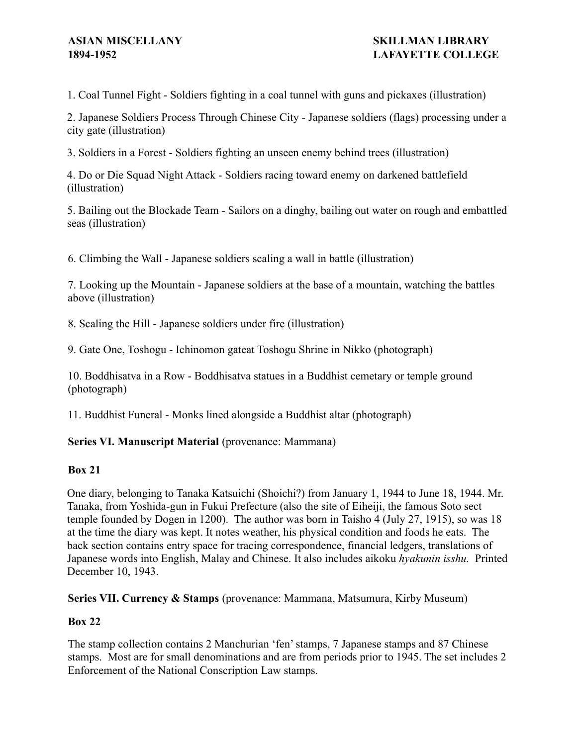1. Coal Tunnel Fight - Soldiers fighting in a coal tunnel with guns and pickaxes (illustration)

2. Japanese Soldiers Process Through Chinese City - Japanese soldiers (flags) processing under a city gate (illustration)

3. Soldiers in a Forest - Soldiers fighting an unseen enemy behind trees (illustration)

4. Do or Die Squad Night Attack - Soldiers racing toward enemy on darkened battlefield (illustration)

5. Bailing out the Blockade Team - Sailors on a dinghy, bailing out water on rough and embattled seas (illustration)

6. Climbing the Wall - Japanese soldiers scaling a wall in battle (illustration)

7. Looking up the Mountain - Japanese soldiers at the base of a mountain, watching the battles above (illustration)

8. Scaling the Hill - Japanese soldiers under fire (illustration)

9. Gate One, Toshogu - Ichinomon gateat Toshogu Shrine in Nikko (photograph)

10. Boddhisatva in a Row - Boddhisatva statues in a Buddhist cemetary or temple ground (photograph)

11. Buddhist Funeral - Monks lined alongside a Buddhist altar (photograph)

### **Series VI. Manuscript Material** (provenance: Mammana)

### **Box 21**

One diary, belonging to Tanaka Katsuichi (Shoichi?) from January 1, 1944 to June 18, 1944. Mr. Tanaka, from Yoshida-gun in Fukui Prefecture (also the site of Eiheiji, the famous Soto sect temple founded by Dogen in 1200). The author was born in Taisho 4 (July 27, 1915), so was 18 at the time the diary was kept. It notes weather, his physical condition and foods he eats. The back section contains entry space for tracing correspondence, financial ledgers, translations of Japanese words into English, Malay and Chinese. It also includes aikoku *hyakunin isshu.* Printed December 10, 1943.

**Series VII. Currency & Stamps** (provenance: Mammana, Matsumura, Kirby Museum)

### **Box 22**

The stamp collection contains 2 Manchurian 'fen' stamps, 7 Japanese stamps and 87 Chinese stamps. Most are for small denominations and are from periods prior to 1945. The set includes 2 Enforcement of the National Conscription Law stamps.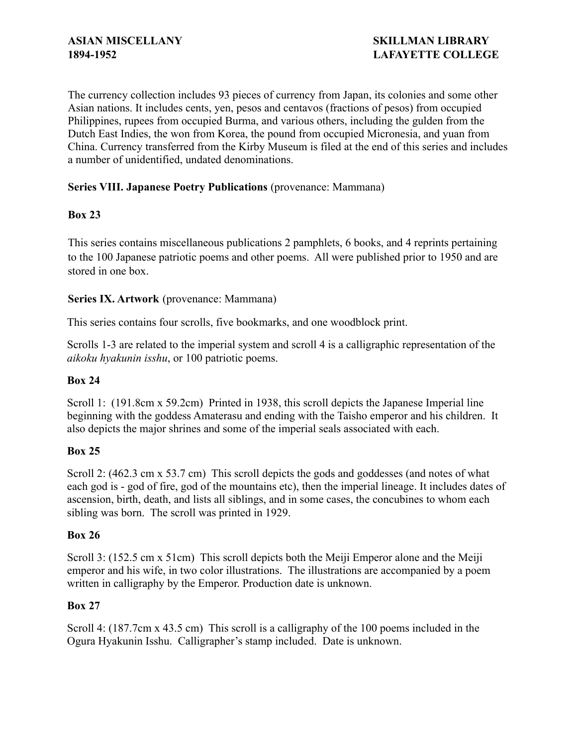The currency collection includes 93 pieces of currency from Japan, its colonies and some other Asian nations. It includes cents, yen, pesos and centavos (fractions of pesos) from occupied Philippines, rupees from occupied Burma, and various others, including the gulden from the Dutch East Indies, the won from Korea, the pound from occupied Micronesia, and yuan from China. Currency transferred from the Kirby Museum is filed at the end of this series and includes a number of unidentified, undated denominations.

# **Series VIII. Japanese Poetry Publications** (provenance: Mammana)

# **Box 23**

This series contains miscellaneous publications 2 pamphlets, 6 books, and 4 reprints pertaining to the 100 Japanese patriotic poems and other poems. All were published prior to 1950 and are stored in one box.

# **Series IX. Artwork** (provenance: Mammana)

This series contains four scrolls, five bookmarks, and one woodblock print.

Scrolls 1-3 are related to the imperial system and scroll 4 is a calligraphic representation of the *aikoku hyakunin isshu*, or 100 patriotic poems.

### **Box 24**

Scroll 1: (191.8cm x 59.2cm) Printed in 1938, this scroll depicts the Japanese Imperial line beginning with the goddess Amaterasu and ending with the Taisho emperor and his children. It also depicts the major shrines and some of the imperial seals associated with each.

### **Box 25**

Scroll 2: (462.3 cm x 53.7 cm) This scroll depicts the gods and goddesses (and notes of what each god is - god of fire, god of the mountains etc), then the imperial lineage. It includes dates of ascension, birth, death, and lists all siblings, and in some cases, the concubines to whom each sibling was born. The scroll was printed in 1929.

### **Box 26**

Scroll 3: (152.5 cm x 51cm) This scroll depicts both the Meiji Emperor alone and the Meiji emperor and his wife, in two color illustrations. The illustrations are accompanied by a poem written in calligraphy by the Emperor. Production date is unknown.

# **Box 27**

Scroll 4: (187.7cm x 43.5 cm) This scroll is a calligraphy of the 100 poems included in the Ogura Hyakunin Isshu. Calligrapher's stamp included. Date is unknown.